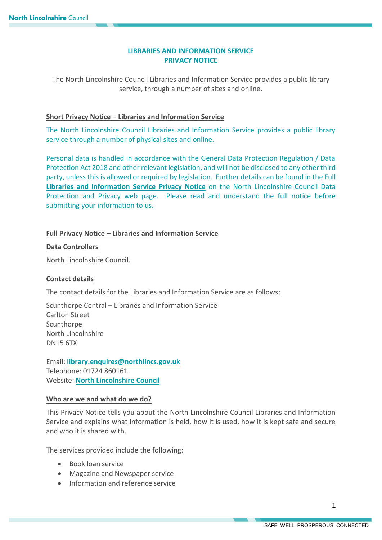# **LIBRARIES AND INFORMATION SERVICE PRIVACY NOTICE**

The North Lincolnshire Council Libraries and Information Service provides a public library service, through a number of sites and online.

# **Short Privacy Notice – Libraries and Information Service**

The North Lincolnshire Council Libraries and Information Service provides a public library service through a number of physical sites and online.

Personal data is handled in accordance with the General Data Protection Regulation / Data Protection Act 2018 and other relevant legislation, and will not be disclosed to any other third party, unless this is allowed or required by legislation. Further details can be found in the Full **Libraries and [Information](https://www.northlincs.gov.uk/your-council/about-your-council/information-and-performance/information-governance/data-protection-and-privacy/) Service Privacy Notice** on the North Lincolnshire Council Data Protection and Privacy web page. Please read and understand the full notice before submitting your information to us.

# **Full Privacy Notice – Libraries and Information Service**

# **Data Controllers**

North Lincolnshire Council.

# **Contact details**

The contact details for the Libraries and Information Service are as follows:

Scunthorpe Central – Libraries and Information Service Carlton Street **Scunthorpe** North Lincolnshire DN15 6TX

Email: **library.[enquires@northlincs.gov.uk](mailto:libraryenquires@northlincs.gov.uk)** Telephone: 01724 860161 Website: **[North Lincolnshire Council](https://www.northlincs.gov.uk/schools-libraries-and-learning/libraries/)**

# **Who are we and what do we do?**

This Privacy Notice tells you about the North Lincolnshire Council Libraries and Information Service and explains what information is held, how it is used, how it is kept safe and secure and who it is shared with.

The services provided include the following:

- Book loan service
- Magazine and Newspaper service
- Information and reference service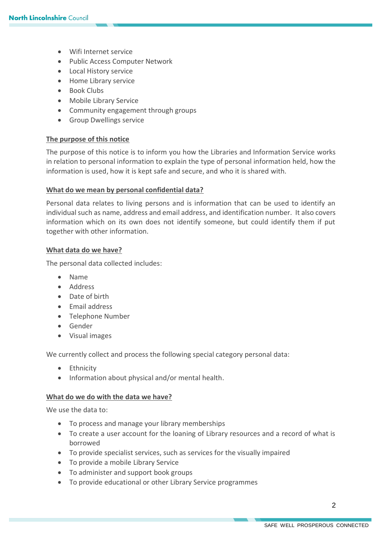- Wifi Internet service
- Public Access Computer Network
- Local History service
- Home Library service
- Book Clubs
- Mobile Library Service
- Community engagement through groups
- **•** Group Dwellings service

## **The purpose of this notice**

The purpose of this notice is to inform you how the Libraries and Information Service works in relation to personal information to explain the type of personal information held, how the information is used, how it is kept safe and secure, and who it is shared with.

## **What do we mean by personal confidential data?**

Personal data relates to living persons and is information that can be used to identify an individual such as name, address and email address, and identification number. It also covers information which on its own does not identify someone, but could identify them if put together with other information.

## **What data do we have?**

The personal data collected includes:

- Name
- Address
- Date of birth
- **Email address**
- Telephone Number
- **•** Gender
- Visual images

We currently collect and process the following special category personal data:

- Ethnicity
- Information about physical and/or mental health.

#### **What do we do with the data we have?**

We use the data to:

- To process and manage your library memberships
- To create a user account for the loaning of Library resources and a record of what is borrowed
- To provide specialist services, such as services for the visually impaired
- To provide a mobile Library Service
- To administer and support book groups
- To provide educational or other Library Service programmes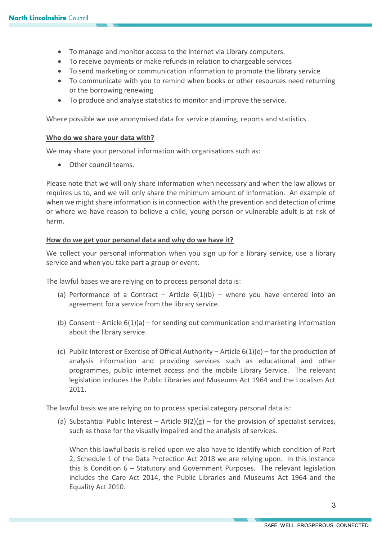- To manage and monitor access to the internet via Library computers.
- To receive payments or make refunds in relation to chargeable services
- To send marketing or communication information to promote the library service
- To communicate with you to remind when books or other resources need returning or the borrowing renewing
- To produce and analyse statistics to monitor and improve the service.

Where possible we use anonymised data for service planning, reports and statistics.

#### **Who do we share your data with?**

We may share your personal information with organisations such as:

• Other council teams.

Please note that we will only share information when necessary and when the law allows or requires us to, and we will only share the minimum amount of information. An example of when we might share information is in connection with the prevention and detection of crime or where we have reason to believe a child, young person or vulnerable adult is at risk of harm.

# **How do we get your personal data and why do we have it?**

We collect your personal information when you sign up for a library service, use a library service and when you take part a group or event.

The lawful bases we are relying on to process personal data is:

- (a) Performance of a Contract Article  $6(1)(b)$  where you have entered into an agreement for a service from the library service.
- (b) Consent Article  $6(1)(a)$  for sending out communication and marketing information about the library service.
- (c) Public Interest or Exercise of Official Authority Article  $6(1)(e)$  for the production of analysis information and providing services such as educational and other programmes, public internet access and the mobile Library Service. The relevant legislation includes the Public Libraries and Museums Act 1964 and the Localism Act 2011.

The lawful basis we are relying on to process special category personal data is:

(a) Substantial Public Interest – Article  $9(2)(g)$  – for the provision of specialist services, such as those for the visually impaired and the analysis of services.

When this lawful basis is relied upon we also have to identify which condition of Part 2, Schedule 1 of the Data Protection Act 2018 we are relying upon. In this instance this is Condition 6 – Statutory and Government Purposes. The relevant legislation includes the Care Act 2014, the Public Libraries and Museums Act 1964 and the Equality Act 2010.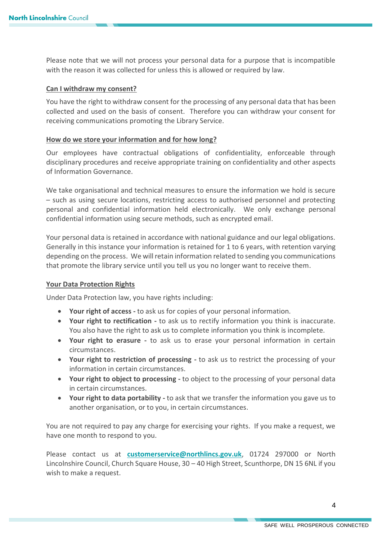Please note that we will not process your personal data for a purpose that is incompatible with the reason it was collected for unless this is allowed or required by law.

## **Can I withdraw my consent?**

You have the right to withdraw consent for the processing of any personal data that has been collected and used on the basis of consent. Therefore you can withdraw your consent for receiving communications promoting the Library Service.

## **How do we store your information and for how long?**

Our employees have contractual obligations of confidentiality, enforceable through disciplinary procedures and receive appropriate training on confidentiality and other aspects of Information Governance.

We take organisational and technical measures to ensure the information we hold is secure – such as using secure locations, restricting access to authorised personnel and protecting personal and confidential information held electronically. We only exchange personal confidential information using secure methods, such as encrypted email.

Your personal data is retained in accordance with national guidance and our legal obligations. Generally in this instance your information is retained for 1 to 6 years, with retention varying depending on the process. We will retain information related to sending you communications that promote the library service until you tell us you no longer want to receive them.

#### **Your Data Protection Rights**

Under Data Protection law, you have rights including:

- **Your right of access -** to ask us for copies of your personal information.
- **Your right to rectification -** to ask us to rectify information you think is inaccurate. You also have the right to ask us to complete information you think is incomplete.
- **Your right to erasure -** to ask us to erase your personal information in certain circumstances.
- **Your right to restriction of processing -** to ask us to restrict the processing of your information in certain circumstances.
- **Your right to object to processing -** to object to the processing of your personal data in certain circumstances.
- **Your right to data portability -** to ask that we transfer the information you gave us to another organisation, or to you, in certain circumstances.

You are not required to pay any charge for exercising your rights. If you make a request, we have one month to respond to you.

Please contact us at **[customerservice@northlincs.gov.uk](mailto:customerservice@northlincs.gov.uk)**, 01724 297000 or North Lincolnshire Council, Church Square House, 30 – 40 High Street, Scunthorpe, DN 15 6NL if you wish to make a request.